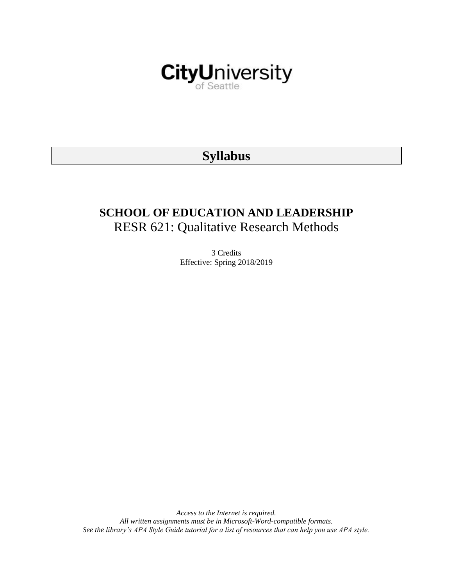

# **Syllabus**

# **SCHOOL OF EDUCATION AND LEADERSHIP** RESR 621: Qualitative Research Methods

3 Credits Effective: Spring 2018/2019

*Access to the Internet is required. All written assignments must be in Microsoft-Word-compatible formats. See the library's APA Style Guide tutorial for a list of resources that can help you use APA style.*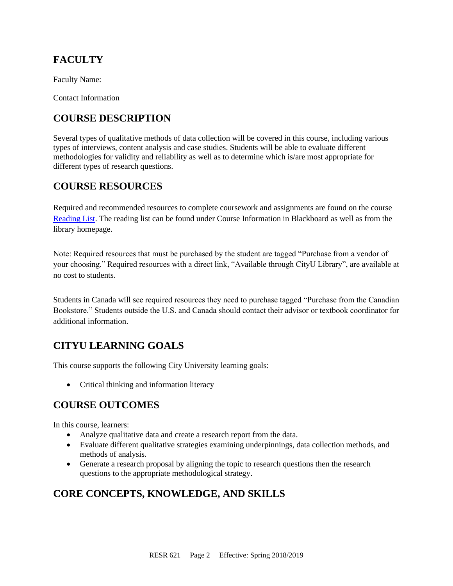# **FACULTY**

Faculty Name:

Contact Information

# **COURSE DESCRIPTION**

Several types of qualitative methods of data collection will be covered in this course, including various types of interviews, content analysis and case studies. Students will be able to evaluate different methodologies for validity and reliability as well as to determine which is/are most appropriate for different types of research questions.

## **COURSE RESOURCES**

Required and recommended resources to complete coursework and assignments are found on the course [Reading List.](https://nam03.safelinks.protection.outlook.com/?url=https%3A%2F%2Fcityu.alma.exlibrisgroup.com%2Fleganto%2Flogin%3Fauth%3DSAML&data=04%7C01%7CMMara%40cityu.edu%7C70673ce0fe0144040eda08d87472e204%7Cb3fa96d9f5154662add763d854e39e63%7C1%7C0%7C637387384066198115%7CUnknown%7CTWFpbGZsb3d8eyJWIjoiMC4wLjAwMDAiLCJQIjoiV2luMzIiLCJBTiI6Ik1haWwiLCJXVCI6Mn0%3D%7C1000&sdata=JbwP%2Fm5Q%2BMgIUWa%2FXceos%2BoiLv0DX%2B%2FL%2BNGNMbX9P8E%3D&reserved=0) The reading list can be found under Course Information in Blackboard as well as from the library homepage.

Note: Required resources that must be purchased by the student are tagged "Purchase from a vendor of your choosing." Required resources with a direct link, "Available through CityU Library", are available at no cost to students.

Students in Canada will see required resources they need to purchase tagged "Purchase from the Canadian Bookstore." Students outside the U.S. and Canada should contact their advisor or textbook coordinator for additional information.

# **CITYU LEARNING GOALS**

This course supports the following City University learning goals:

• Critical thinking and information literacy

### **COURSE OUTCOMES**

In this course, learners:

- Analyze qualitative data and create a research report from the data.
- Evaluate different qualitative strategies examining underpinnings, data collection methods, and methods of analysis.
- Generate a research proposal by aligning the topic to research questions then the research questions to the appropriate methodological strategy.

# **CORE CONCEPTS, KNOWLEDGE, AND SKILLS**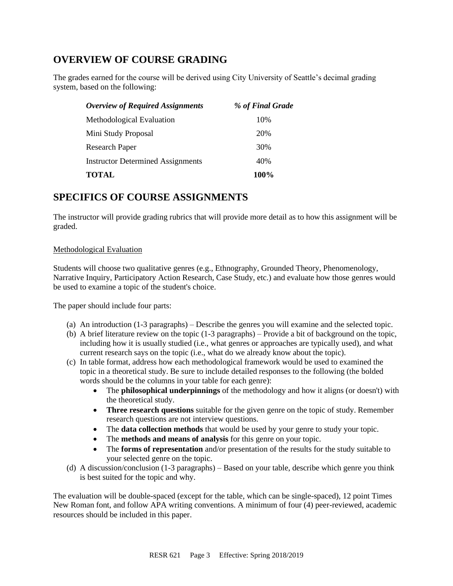## **OVERVIEW OF COURSE GRADING**

The grades earned for the course will be derived using City University of Seattle's decimal grading system, based on the following:

| <b>Overview of Required Assignments</b>  | % of Final Grade |
|------------------------------------------|------------------|
| Methodological Evaluation                | 10%              |
| Mini Study Proposal                      | 20%              |
| Research Paper                           | 30%              |
| <b>Instructor Determined Assignments</b> | 40%              |
| <b>TOTAL</b>                             | 100%             |

### **SPECIFICS OF COURSE ASSIGNMENTS**

The instructor will provide grading rubrics that will provide more detail as to how this assignment will be graded.

### Methodological Evaluation

Students will choose two qualitative genres (e.g., Ethnography, Grounded Theory, Phenomenology, Narrative Inquiry, Participatory Action Research, Case Study, etc.) and evaluate how those genres would be used to examine a topic of the student's choice.

The paper should include four parts:

- (a) An introduction (1-3 paragraphs) Describe the genres you will examine and the selected topic.
- (b) A brief literature review on the topic (1-3 paragraphs) Provide a bit of background on the topic, including how it is usually studied (i.e., what genres or approaches are typically used), and what current research says on the topic (i.e., what do we already know about the topic).
- (c) In table format, address how each methodological framework would be used to examined the topic in a theoretical study. Be sure to include detailed responses to the following (the bolded words should be the columns in your table for each genre):
	- The **philosophical underpinnings** of the methodology and how it aligns (or doesn't) with the theoretical study.
	- **Three research questions** suitable for the given genre on the topic of study. Remember research questions are not interview questions.
	- The **data collection methods** that would be used by your genre to study your topic.
	- The **methods and means of analysis** for this genre on your topic.
	- The **forms of representation** and/or presentation of the results for the study suitable to your selected genre on the topic.
- (d) A discussion/conclusion (1-3 paragraphs) Based on your table, describe which genre you think is best suited for the topic and why.

The evaluation will be double-spaced (except for the table, which can be single-spaced), 12 point Times New Roman font, and follow APA writing conventions. A minimum of four (4) peer-reviewed, academic resources should be included in this paper.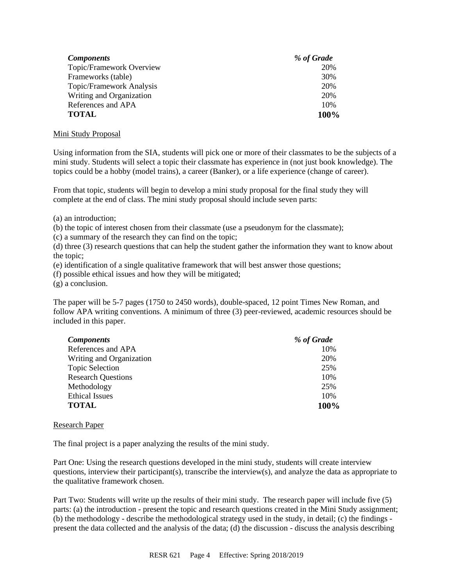| <b>Components</b>        | % of Grade |
|--------------------------|------------|
| Topic/Framework Overview | 20%        |
| Frameworks (table)       | 30%        |
| Topic/Framework Analysis | 20%        |
| Writing and Organization | 20%        |
| References and APA       | 10%        |
| <b>TOTAL</b>             | 100%       |

#### Mini Study Proposal

Using information from the SIA, students will pick one or more of their classmates to be the subjects of a mini study. Students will select a topic their classmate has experience in (not just book knowledge). The topics could be a hobby (model trains), a career (Banker), or a life experience (change of career).

From that topic, students will begin to develop a mini study proposal for the final study they will complete at the end of class. The mini study proposal should include seven parts:

(a) an introduction;

(b) the topic of interest chosen from their classmate (use a pseudonym for the classmate);

(c) a summary of the research they can find on the topic;

(d) three (3) research questions that can help the student gather the information they want to know about the topic;

(e) identification of a single qualitative framework that will best answer those questions;

(f) possible ethical issues and how they will be mitigated;

(g) a conclusion.

The paper will be 5-7 pages (1750 to 2450 words), double-spaced, 12 point Times New Roman, and follow APA writing conventions. A minimum of three (3) peer-reviewed, academic resources should be included in this paper.

| <b>Components</b>         | % of Grade |
|---------------------------|------------|
| References and APA        | 10%        |
| Writing and Organization  | 20%        |
| <b>Topic Selection</b>    | 25%        |
| <b>Research Questions</b> | 10%        |
| Methodology               | 25%        |
| <b>Ethical Issues</b>     | 10%        |
| <b>TOTAL</b>              | 100%       |

#### Research Paper

The final project is a paper analyzing the results of the mini study.

Part One: Using the research questions developed in the mini study, students will create interview questions, interview their participant(s), transcribe the interview(s), and analyze the data as appropriate to the qualitative framework chosen.

Part Two: Students will write up the results of their mini study. The research paper will include five (5) parts: (a) the introduction - present the topic and research questions created in the Mini Study assignment; (b) the methodology - describe the methodological strategy used in the study, in detail; (c) the findings present the data collected and the analysis of the data; (d) the discussion - discuss the analysis describing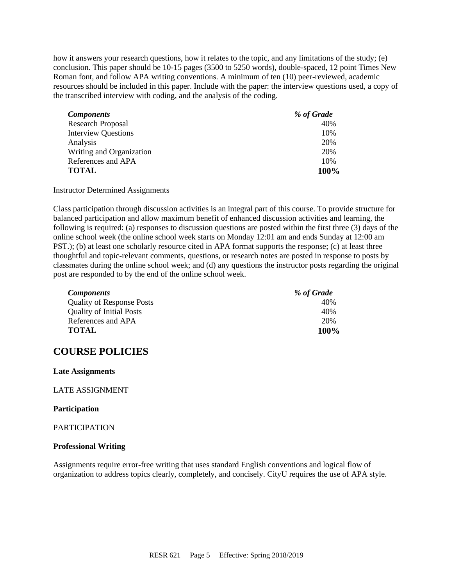how it answers your research questions, how it relates to the topic, and any limitations of the study; (e) conclusion. This paper should be 10-15 pages (3500 to 5250 words), double-spaced, 12 point Times New Roman font, and follow APA writing conventions. A minimum of ten (10) peer-reviewed, academic resources should be included in this paper. Include with the paper: the interview questions used, a copy of the transcribed interview with coding, and the analysis of the coding.

| Components                 | % of Grade |
|----------------------------|------------|
| <b>Research Proposal</b>   | 40%        |
| <b>Interview Questions</b> | 10%        |
| Analysis                   | 20%        |
| Writing and Organization   | 20%        |
| References and APA         | 10%        |
| TOTAL                      | 100%       |

#### Instructor Determined Assignments

Class participation through discussion activities is an integral part of this course. To provide structure for balanced participation and allow maximum benefit of enhanced discussion activities and learning, the following is required: (a) responses to discussion questions are posted within the first three (3) days of the online school week (the online school week starts on Monday 12:01 am and ends Sunday at 12:00 am PST.); (b) at least one scholarly resource cited in APA format supports the response; (c) at least three thoughtful and topic-relevant comments, questions, or research notes are posted in response to posts by classmates during the online school week; and (d) any questions the instructor posts regarding the original post are responded to by the end of the online school week.

| <i>Components</i>                | % of Grade |
|----------------------------------|------------|
| <b>Quality of Response Posts</b> | 40%        |
| <b>Quality of Initial Posts</b>  | 40%        |
| References and APA               | 20%        |
| <b>TOTAL</b>                     | 100%       |

### **COURSE POLICIES**

#### **Late Assignments**

#### LATE ASSIGNMENT

#### **Participation**

#### PARTICIPATION

#### **Professional Writing**

Assignments require error-free writing that uses standard English conventions and logical flow of organization to address topics clearly, completely, and concisely. CityU requires the use of APA style.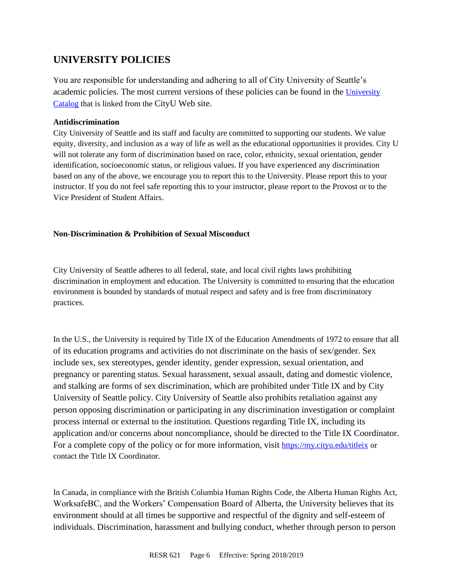## **UNIVERSITY POLICIES**

You are responsible for understanding and adhering to all of City University of Seattle's academic policies. The most current versions of these policies can be found in the [University](https://www.cityu.edu/catalog/)  [Catalog](https://www.cityu.edu/catalog/) that is linked from the CityU Web site.

### **Antidiscrimination**

City University of Seattle and its staff and faculty are committed to supporting our students. We value equity, diversity, and inclusion as a way of life as well as the educational opportunities it provides. City U will not tolerate any form of discrimination based on race, color, ethnicity, sexual orientation, gender identification, socioeconomic status, or religious values. If you have experienced any discrimination based on any of the above, we encourage you to report this to the University. Please report this to your instructor. If you do not feel safe reporting this to your instructor, please report to the Provost or to the Vice President of Student Affairs.

### **Non-Discrimination & Prohibition of Sexual Misconduct**

City University of Seattle adheres to all federal, state, and local civil rights laws prohibiting discrimination in employment and education. The University is committed to ensuring that the education environment is bounded by standards of mutual respect and safety and is free from discriminatory practices.

In the U.S., the University is required by Title IX of the Education Amendments of 1972 to ensure that all of its education programs and activities do not discriminate on the basis of sex/gender. Sex include sex, sex stereotypes, gender identity, gender expression, sexual orientation, and pregnancy or parenting status. Sexual harassment, sexual assault, dating and domestic violence, and stalking are forms of sex discrimination, which are prohibited under Title IX and by City University of Seattle policy. City University of Seattle also prohibits retaliation against any person opposing discrimination or participating in any discrimination investigation or complaint process internal or external to the institution. Questions regarding Title IX, including its application and/or concerns about noncompliance, should be directed to the Title IX Coordinator. For a complete copy of the policy or for more information, visit <https://my.cityu.edu/titleix> or contact the Title IX Coordinator.

In Canada, in compliance with the British Columbia Human Rights Code, the Alberta Human Rights Act, WorksafeBC, and the Workers' Compensation Board of Alberta, the University believes that its environment should at all times be supportive and respectful of the dignity and self-esteem of individuals. Discrimination, harassment and bullying conduct, whether through person to person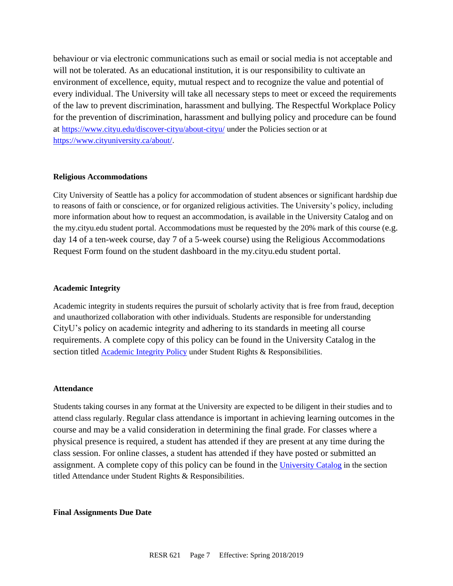behaviour or via electronic communications such as email or social media is not acceptable and will not be tolerated. As an educational institution, it is our responsibility to cultivate an environment of excellence, equity, mutual respect and to recognize the value and potential of every individual. The University will take all necessary steps to meet or exceed the requirements of the law to prevent discrimination, harassment and bullying. The Respectful Workplace Policy for the prevention of discrimination, harassment and bullying policy and procedure can be found at <https://www.cityu.edu/discover-cityu/about-cityu/> under the Policies section or at <https://www.cityuniversity.ca/about/>.

#### **Religious Accommodations**

City University of Seattle has a policy for accommodation of student absences or significant hardship due to reasons of faith or conscience, or for organized religious activities. The University's policy, including more information about how to request an accommodation, is available in the University Catalog and on the my.cityu.edu student portal. Accommodations must be requested by the 20% mark of this course (e.g. day 14 of a ten-week course, day 7 of a 5-week course) using the Religious Accommodations Request Form found on the student dashboard in the my.cityu.edu student portal.

#### **Academic Integrity**

Academic integrity in students requires the pursuit of scholarly activity that is free from fraud, deception and unauthorized collaboration with other individuals. Students are responsible for understanding CityU's policy on academic integrity and adhering to its standards in meeting all course requirements. A complete copy of this policy can be found in the University Catalog in the section titled [Academic Integrity Policy](https://www.cityu.edu/catalog/;) under Student Rights & Responsibilities.

#### **Attendance**

Students taking courses in any format at the University are expected to be diligent in their studies and to attend class regularly. Regular class attendance is important in achieving learning outcomes in the course and may be a valid consideration in determining the final grade. For classes where a physical presence is required, a student has attended if they are present at any time during the class session. For online classes, a student has attended if they have posted or submitted an assignment. A complete copy of this policy can be found in the [University Catalog](https://www.cityu.edu/catalog/;) in the section titled Attendance under Student Rights & Responsibilities.

### **Final Assignments Due Date**